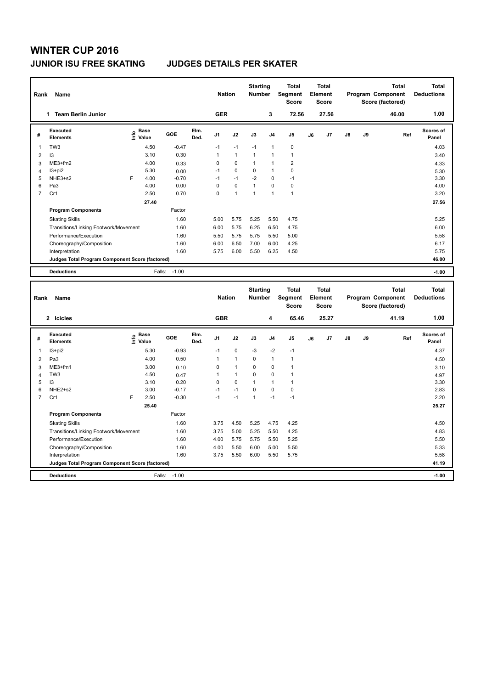# **WINTER CUP 2016 JUNIOR ISU FREE SKATING JUDGES DETAILS PER SKATER**

| Rank                     | Name                                            |   |                                             |         |              | <b>Nation</b>  |              | <b>Starting</b><br><b>Number</b> |                | <b>Total</b><br>Segment<br><b>Score</b> |    | <b>Total</b><br>Element<br>Score |               |    | <b>Total</b><br>Program Component<br>Score (factored) | <b>Total</b><br><b>Deductions</b> |
|--------------------------|-------------------------------------------------|---|---------------------------------------------|---------|--------------|----------------|--------------|----------------------------------|----------------|-----------------------------------------|----|----------------------------------|---------------|----|-------------------------------------------------------|-----------------------------------|
|                          | <b>Team Berlin Junior</b><br>1                  |   |                                             |         |              | <b>GER</b>     |              |                                  | 3              | 72.56                                   |    | 27.56                            |               |    | 46.00                                                 | 1.00                              |
| #                        | <b>Executed</b><br><b>Elements</b>              |   | <b>Base</b><br>e <sup>Base</sup><br>⊆ Value | GOE     | Elm.<br>Ded. | J <sub>1</sub> | J2           | J3                               | J <sub>4</sub> | J <sub>5</sub>                          | J6 | J7                               | $\mathsf{J}8$ | J9 | Ref                                                   | <b>Scores of</b><br>Panel         |
| $\overline{\phantom{a}}$ | TW <sub>3</sub>                                 |   | 4.50                                        | $-0.47$ |              | $-1$           | $-1$         | $-1$                             | $\mathbf{1}$   | $\pmb{0}$                               |    |                                  |               |    |                                                       | 4.03                              |
| $\overline{2}$           | 3                                               |   | 3.10                                        | 0.30    |              | $\mathbf{1}$   | $\mathbf{1}$ | $\mathbf{1}$                     | $\mathbf{1}$   | $\mathbf{1}$                            |    |                                  |               |    |                                                       | 3.40                              |
| 3                        | $ME3+fm2$                                       |   | 4.00                                        | 0.33    |              | 0              | 0            | 1                                | $\mathbf{1}$   | $\overline{2}$                          |    |                                  |               |    |                                                       | 4.33                              |
| $\overline{4}$           | $13 + pi2$                                      |   | 5.30                                        | 0.00    |              | $-1$           | $\mathbf 0$  | 0                                | 1              | 0                                       |    |                                  |               |    |                                                       | 5.30                              |
| 5                        | NHE3+s2                                         | F | 4.00                                        | $-0.70$ |              | $-1$           | $-1$         | $-2$                             | 0              | $-1$                                    |    |                                  |               |    |                                                       | 3.30                              |
| 6                        | Pa <sub>3</sub>                                 |   | 4.00                                        | 0.00    |              | 0              | $\mathbf 0$  | 1                                | $\Omega$       | 0                                       |    |                                  |               |    |                                                       | 4.00                              |
| $\overline{7}$           | Cr1                                             |   | 2.50                                        | 0.70    |              | 0              | $\mathbf{1}$ | $\overline{1}$                   | $\mathbf{1}$   | $\overline{1}$                          |    |                                  |               |    |                                                       | 3.20                              |
|                          |                                                 |   | 27.40                                       |         |              |                |              |                                  |                |                                         |    |                                  |               |    |                                                       | 27.56                             |
|                          | <b>Program Components</b>                       |   |                                             | Factor  |              |                |              |                                  |                |                                         |    |                                  |               |    |                                                       |                                   |
|                          | <b>Skating Skills</b>                           |   |                                             | 1.60    |              | 5.00           | 5.75         | 5.25                             | 5.50           | 4.75                                    |    |                                  |               |    |                                                       | 5.25                              |
|                          | Transitions/Linking Footwork/Movement           |   |                                             | 1.60    |              | 6.00           | 5.75         | 6.25                             | 6.50           | 4.75                                    |    |                                  |               |    |                                                       | 6.00                              |
|                          | Performance/Execution                           |   |                                             | 1.60    |              | 5.50           | 5.75         | 5.75                             | 5.50           | 5.00                                    |    |                                  |               |    |                                                       | 5.58                              |
|                          | Choreography/Composition                        |   |                                             | 1.60    |              | 6.00           | 6.50         | 7.00                             | 6.00           | 4.25                                    |    |                                  |               |    |                                                       | 6.17                              |
|                          | Interpretation                                  |   |                                             | 1.60    |              | 5.75           | 6.00         | 5.50                             | 6.25           | 4.50                                    |    |                                  |               |    |                                                       | 5.75                              |
|                          | Judges Total Program Component Score (factored) |   |                                             |         |              |                |              |                                  |                |                                         |    |                                  |               |    |                                                       | 46.00                             |
|                          | <b>Deductions</b>                               |   | Falls:                                      | $-1.00$ |              |                |              |                                  |                |                                         |    |                                  |               |    |                                                       | $-1.00$                           |

| Name<br>Rank   |                                                 |      |                      |         | <b>Nation</b> |                | <b>Starting</b><br><b>Number</b> |              | <b>Total</b><br>Segment<br><b>Score</b> | <b>Total</b><br>Element<br><b>Score</b> |    | <b>Total</b><br>Program Component<br>Score (factored) |               |    | <b>Total</b><br><b>Deductions</b> |                           |
|----------------|-------------------------------------------------|------|----------------------|---------|---------------|----------------|----------------------------------|--------------|-----------------------------------------|-----------------------------------------|----|-------------------------------------------------------|---------------|----|-----------------------------------|---------------------------|
|                | 2 Icicles                                       |      |                      |         |               | <b>GBR</b>     |                                  |              | 4                                       | 65.46                                   |    | 25.27                                                 |               |    | 41.19                             | 1.00                      |
| #              | <b>Executed</b><br><b>Elements</b>              | lnfo | <b>Base</b><br>Value | GOE     | Elm.<br>Ded.  | J <sub>1</sub> | J2                               | J3           | J <sub>4</sub>                          | J <sub>5</sub>                          | J6 | J7                                                    | $\mathsf{J}8$ | J9 | Ref                               | <b>Scores of</b><br>Panel |
|                | $13 + pi2$                                      |      | 5.30                 | $-0.93$ |               | $-1$           | $\mathbf 0$                      | $-3$         | $-2$                                    | $-1$                                    |    |                                                       |               |    |                                   | 4.37                      |
| 2              | Pa3                                             |      | 4.00                 | 0.50    |               | 1              | $\mathbf{1}$                     | $\Omega$     | 1                                       | $\overline{1}$                          |    |                                                       |               |    |                                   | 4.50                      |
| 3              | ME3+fm1                                         |      | 3.00                 | 0.10    |               | 0              | 1                                | 0            | 0                                       |                                         |    |                                                       |               |    |                                   | 3.10                      |
| 4              | TW <sub>3</sub>                                 |      | 4.50                 | 0.47    |               |                | $\mathbf{1}$                     | $\Omega$     | 0                                       |                                         |    |                                                       |               |    |                                   | 4.97                      |
| 5              | 13                                              |      | 3.10                 | 0.20    |               | 0              | $\mathbf 0$                      | $\mathbf{1}$ | 1                                       | 1                                       |    |                                                       |               |    |                                   | 3.30                      |
| 6              | NHE2+s2                                         |      | 3.00                 | $-0.17$ |               | $-1$           | $-1$                             | 0            | $\Omega$                                | 0                                       |    |                                                       |               |    |                                   | 2.83                      |
| $\overline{7}$ | Cr1                                             | F    | 2.50                 | $-0.30$ |               | $-1$           | $-1$                             | $\mathbf{1}$ | $-1$                                    | $-1$                                    |    |                                                       |               |    |                                   | 2.20                      |
|                |                                                 |      | 25.40                |         |               |                |                                  |              |                                         |                                         |    |                                                       |               |    |                                   | 25.27                     |
|                | <b>Program Components</b>                       |      |                      | Factor  |               |                |                                  |              |                                         |                                         |    |                                                       |               |    |                                   |                           |
|                | <b>Skating Skills</b>                           |      |                      | 1.60    |               | 3.75           | 4.50                             | 5.25         | 4.75                                    | 4.25                                    |    |                                                       |               |    |                                   | 4.50                      |
|                | Transitions/Linking Footwork/Movement           |      |                      | 1.60    |               | 3.75           | 5.00                             | 5.25         | 5.50                                    | 4.25                                    |    |                                                       |               |    |                                   | 4.83                      |
|                | Performance/Execution                           |      |                      | 1.60    |               | 4.00           | 5.75                             | 5.75         | 5.50                                    | 5.25                                    |    |                                                       |               |    |                                   | 5.50                      |
|                | Choreography/Composition                        |      |                      | 1.60    |               | 4.00           | 5.50                             | 6.00         | 5.00                                    | 5.50                                    |    |                                                       |               |    |                                   | 5.33                      |
|                | Interpretation                                  |      |                      | 1.60    |               | 3.75           | 5.50                             | 6.00         | 5.50                                    | 5.75                                    |    |                                                       |               |    |                                   | 5.58                      |
|                | Judges Total Program Component Score (factored) |      |                      |         |               |                |                                  |              |                                         |                                         |    |                                                       |               |    |                                   | 41.19                     |
|                | <b>Deductions</b>                               |      | Falls:               | $-1.00$ |               |                |                                  |              |                                         |                                         |    |                                                       |               |    |                                   | $-1.00$                   |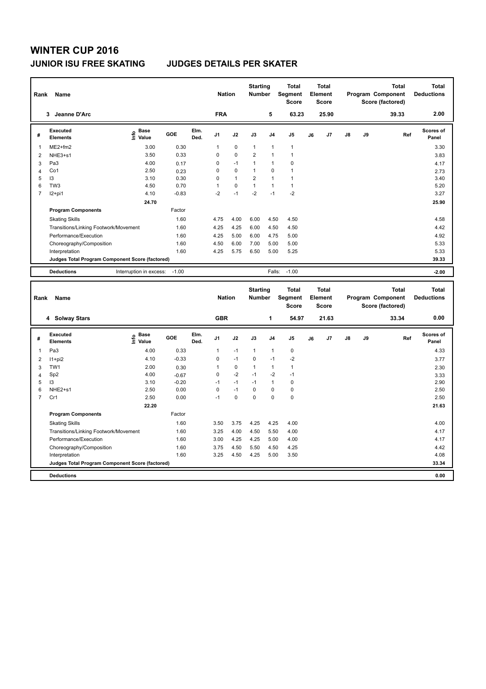# **WINTER CUP 2016 JUNIOR ISU FREE SKATING JUDGES DETAILS PER SKATER**

|                | Name<br>Rank                                    |                                             |         |              |                |              | <b>Starting</b><br><b>Number</b> |                | <b>Total</b><br>Segment<br><b>Score</b> | Total<br>Element<br><b>Score</b> |       |    |    | <b>Total</b><br>Program Component<br>Score (factored) | Total<br><b>Deductions</b> |
|----------------|-------------------------------------------------|---------------------------------------------|---------|--------------|----------------|--------------|----------------------------------|----------------|-----------------------------------------|----------------------------------|-------|----|----|-------------------------------------------------------|----------------------------|
|                | Jeanne D'Arc<br>3                               |                                             |         |              | <b>FRA</b>     |              |                                  | 5              | 63.23                                   |                                  | 25.90 |    |    | 39.33                                                 | 2.00                       |
| #              | Executed<br><b>Elements</b>                     | <b>Base</b><br>e <sup>Base</sup><br>⊆ Value | GOE     | Elm.<br>Ded. | J <sub>1</sub> | J2           | J3                               | J <sub>4</sub> | J <sub>5</sub>                          | J6                               | J7    | J8 | J9 | Ref                                                   | <b>Scores of</b><br>Panel  |
| -1             | $ME2+fm2$                                       | 3.00                                        | 0.30    |              | 1              | $\mathbf 0$  | $\overline{1}$                   | $\overline{1}$ | $\mathbf{1}$                            |                                  |       |    |    |                                                       | 3.30                       |
| $\overline{2}$ | NHE3+s1                                         | 3.50                                        | 0.33    |              | $\Omega$       | $\mathbf 0$  | $\overline{2}$                   | $\overline{1}$ | 1                                       |                                  |       |    |    |                                                       | 3.83                       |
| 3              | Pa <sub>3</sub>                                 | 4.00                                        | 0.17    |              | 0              | $-1$         | 1                                | -1             | 0                                       |                                  |       |    |    |                                                       | 4.17                       |
| $\overline{4}$ | Co1                                             | 2.50                                        | 0.23    |              | 0              | $\mathbf 0$  | 1                                | 0              |                                         |                                  |       |    |    |                                                       | 2.73                       |
| 5              | $\overline{3}$                                  | 3.10                                        | 0.30    |              | 0              | $\mathbf{1}$ | $\overline{2}$                   | $\overline{1}$ | 1                                       |                                  |       |    |    |                                                       | 3.40                       |
| 6              | TW <sub>3</sub>                                 | 4.50                                        | 0.70    |              |                | $\mathbf 0$  | $\overline{1}$                   | $\overline{1}$ | $\mathbf{1}$                            |                                  |       |    |    |                                                       | 5.20                       |
| $\overline{7}$ | $12+pi1$                                        | 4.10                                        | $-0.83$ |              | $-2$           | $-1$         | $-2$                             | $-1$           | $-2$                                    |                                  |       |    |    |                                                       | 3.27                       |
|                |                                                 | 24.70                                       |         |              |                |              |                                  |                |                                         |                                  |       |    |    |                                                       | 25.90                      |
|                | <b>Program Components</b>                       |                                             | Factor  |              |                |              |                                  |                |                                         |                                  |       |    |    |                                                       |                            |
|                | <b>Skating Skills</b>                           |                                             | 1.60    |              | 4.75           | 4.00         | 6.00                             | 4.50           | 4.50                                    |                                  |       |    |    |                                                       | 4.58                       |
|                | Transitions/Linking Footwork/Movement           |                                             | 1.60    |              | 4.25           | 4.25         | 6.00                             | 4.50           | 4.50                                    |                                  |       |    |    |                                                       | 4.42                       |
|                | Performance/Execution                           |                                             | 1.60    |              | 4.25           | 5.00         | 6.00                             | 4.75           | 5.00                                    |                                  |       |    |    |                                                       | 4.92                       |
|                | Choreography/Composition                        |                                             | 1.60    |              | 4.50           | 6.00         | 7.00                             | 5.00           | 5.00                                    |                                  |       |    |    |                                                       | 5.33                       |
|                | Interpretation                                  |                                             | 1.60    |              | 4.25           | 5.75         | 6.50                             | 5.00           | 5.25                                    |                                  |       |    |    |                                                       | 5.33                       |
|                | Judges Total Program Component Score (factored) |                                             |         |              |                |              |                                  |                |                                         |                                  |       |    |    |                                                       | 39.33                      |
|                | <b>Deductions</b>                               | Interruption in excess:                     | $-1.00$ |              |                |              |                                  | Falls:         | $-1.00$                                 |                                  |       |    |    |                                                       | $-2.00$                    |

| Name<br>Rank   |                                                 |                              |         |              |                | <b>Nation</b> |          | <b>Starting</b><br><b>Number</b> | <b>Total</b><br>Segment<br><b>Score</b> | <b>Total</b><br>Element<br><b>Score</b> |       | <b>Total</b><br>Program Component<br>Score (factored) |    |       | <b>Total</b><br><b>Deductions</b> |
|----------------|-------------------------------------------------|------------------------------|---------|--------------|----------------|---------------|----------|----------------------------------|-----------------------------------------|-----------------------------------------|-------|-------------------------------------------------------|----|-------|-----------------------------------|
|                | 4 Solway Stars                                  |                              |         |              | <b>GBR</b>     |               |          | 1                                | 54.97                                   |                                         | 21.63 |                                                       |    | 33.34 | 0.00                              |
| #              | <b>Executed</b><br><b>Elements</b>              | <b>Base</b><br>lnfo<br>Value | GOE     | Elm.<br>Ded. | J <sub>1</sub> | J2            | J3       | J <sub>4</sub>                   | J <sub>5</sub>                          | J6                                      | J7    | $\mathsf{J}8$                                         | J9 | Ref   | Scores of<br>Panel                |
|                | Pa3                                             | 4.00                         | 0.33    |              |                | $-1$          | 1        | $\overline{1}$                   | 0                                       |                                         |       |                                                       |    |       | 4.33                              |
| 2              | $11+pi2$                                        | 4.10                         | $-0.33$ |              | 0              | $-1$          | $\Omega$ | $-1$                             | $-2$                                    |                                         |       |                                                       |    |       | 3.77                              |
| 3              | TW1                                             | 2.00                         | 0.30    |              |                | $\pmb{0}$     | 1        | $\mathbf{1}$                     | 1                                       |                                         |       |                                                       |    |       | 2.30                              |
| 4              | Sp <sub>2</sub>                                 | 4.00                         | $-0.67$ |              | 0              | $-2$          | $-1$     | $-2$                             | $-1$                                    |                                         |       |                                                       |    |       | 3.33                              |
| 5              | 13                                              | 3.10                         | $-0.20$ |              | $-1$           | $-1$          | $-1$     | $\overline{1}$                   | 0                                       |                                         |       |                                                       |    |       | 2.90                              |
| 6              | NHE2+s1                                         | 2.50                         | 0.00    |              | 0              | $-1$          | $\Omega$ | $\Omega$                         | 0                                       |                                         |       |                                                       |    |       | 2.50                              |
| $\overline{7}$ | Cr1                                             | 2.50                         | 0.00    |              | $-1$           | 0             | 0        | 0                                | $\mathbf 0$                             |                                         |       |                                                       |    |       | 2.50                              |
|                |                                                 | 22.20                        |         |              |                |               |          |                                  |                                         |                                         |       |                                                       |    |       | 21.63                             |
|                | <b>Program Components</b>                       |                              | Factor  |              |                |               |          |                                  |                                         |                                         |       |                                                       |    |       |                                   |
|                | <b>Skating Skills</b>                           |                              | 1.60    |              | 3.50           | 3.75          | 4.25     | 4.25                             | 4.00                                    |                                         |       |                                                       |    |       | 4.00                              |
|                | Transitions/Linking Footwork/Movement           |                              | 1.60    |              | 3.25           | 4.00          | 4.50     | 5.50                             | 4.00                                    |                                         |       |                                                       |    |       | 4.17                              |
|                | Performance/Execution                           |                              | 1.60    |              | 3.00           | 4.25          | 4.25     | 5.00                             | 4.00                                    |                                         |       |                                                       |    |       | 4.17                              |
|                | Choreography/Composition                        |                              | 1.60    |              | 3.75           | 4.50          | 5.50     | 4.50                             | 4.25                                    |                                         |       |                                                       |    |       | 4.42                              |
|                | Interpretation                                  |                              | 1.60    |              | 3.25           | 4.50          | 4.25     | 5.00                             | 3.50                                    |                                         |       |                                                       |    |       | 4.08                              |
|                | Judges Total Program Component Score (factored) |                              |         |              |                |               |          |                                  |                                         |                                         |       |                                                       |    |       | 33.34                             |
|                | <b>Deductions</b>                               |                              |         |              |                |               |          |                                  |                                         |                                         |       |                                                       |    |       | 0.00                              |